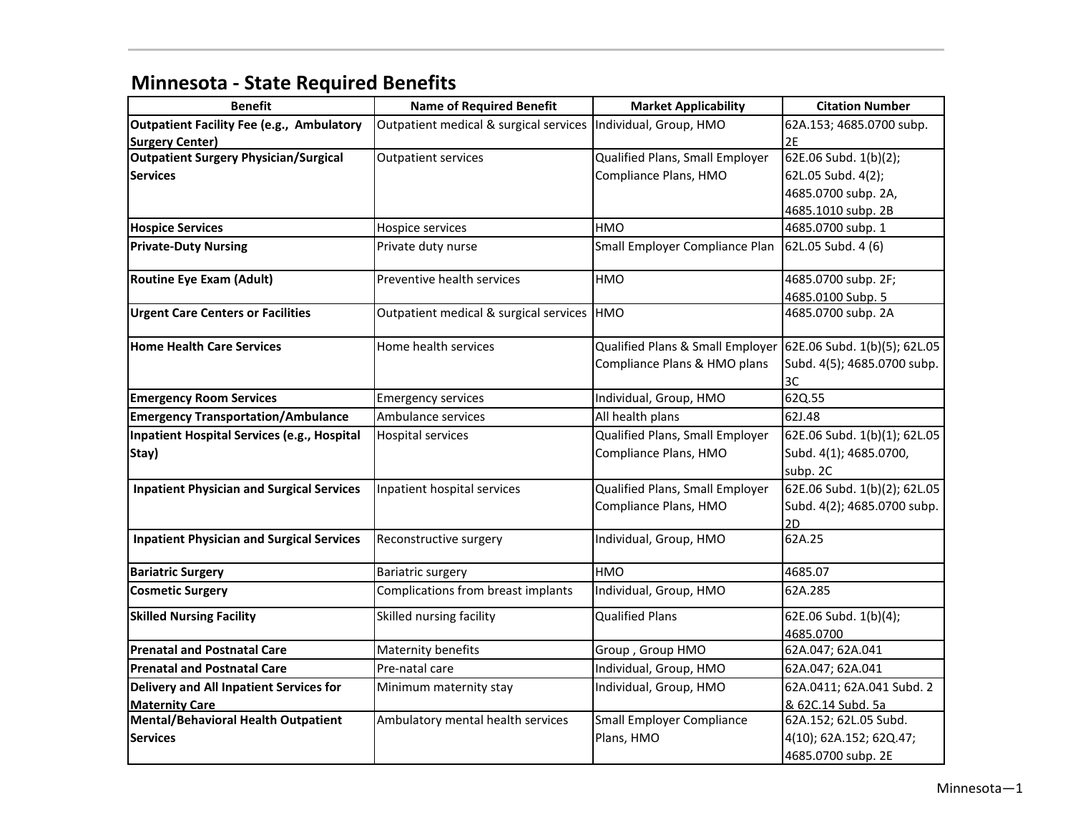| <b>Benefit</b>                                                         | <b>Name of Required Benefit</b>        | <b>Market Applicability</b>                                   | <b>Citation Number</b>       |
|------------------------------------------------------------------------|----------------------------------------|---------------------------------------------------------------|------------------------------|
|                                                                        | Outpatient medical & surgical services | Individual, Group, HMO                                        |                              |
| <b>Outpatient Facility Fee (e.g., Ambulatory</b>                       |                                        |                                                               | 62A.153; 4685.0700 subp.     |
| <b>Surgery Center)</b><br><b>Outpatient Surgery Physician/Surgical</b> | <b>Outpatient services</b>             |                                                               | 2E<br>62E.06 Subd. 1(b)(2);  |
|                                                                        |                                        | Qualified Plans, Small Employer                               |                              |
| <b>Services</b>                                                        |                                        | Compliance Plans, HMO                                         | 62L.05 Subd. 4(2);           |
|                                                                        |                                        |                                                               | 4685.0700 subp. 2A,          |
|                                                                        |                                        |                                                               | 4685.1010 subp. 2B           |
| <b>Hospice Services</b>                                                | Hospice services                       | HMO                                                           | 4685.0700 subp. 1            |
| <b>Private-Duty Nursing</b>                                            | Private duty nurse                     | Small Employer Compliance Plan                                | 62L.05 Subd. 4 (6)           |
| <b>Routine Eye Exam (Adult)</b>                                        | Preventive health services             | <b>HMO</b>                                                    | 4685.0700 subp. 2F;          |
|                                                                        |                                        |                                                               | 4685.0100 Subp. 5            |
| <b>Urgent Care Centers or Facilities</b>                               | Outpatient medical & surgical services | <b>HMO</b>                                                    | 4685.0700 subp. 2A           |
| <b>Home Health Care Services</b>                                       | Home health services                   | Qualified Plans & Small Employer 62E.06 Subd. 1(b)(5); 62L.05 |                              |
|                                                                        |                                        | Compliance Plans & HMO plans                                  | Subd. 4(5); 4685.0700 subp.  |
|                                                                        |                                        |                                                               | 3C                           |
| <b>Emergency Room Services</b>                                         | <b>Emergency services</b>              | Individual, Group, HMO                                        | 62Q.55                       |
| <b>Emergency Transportation/Ambulance</b>                              | Ambulance services                     | All health plans                                              | 62J.48                       |
| Inpatient Hospital Services (e.g., Hospital                            | Hospital services                      | Qualified Plans, Small Employer                               | 62E.06 Subd. 1(b)(1); 62L.05 |
| Stay)                                                                  |                                        | Compliance Plans, HMO                                         | Subd. 4(1); 4685.0700,       |
|                                                                        |                                        |                                                               | subp. 2C                     |
| <b>Inpatient Physician and Surgical Services</b>                       | Inpatient hospital services            | Qualified Plans, Small Employer                               | 62E.06 Subd. 1(b)(2); 62L.05 |
|                                                                        |                                        | Compliance Plans, HMO                                         | Subd. 4(2); 4685.0700 subp.  |
|                                                                        |                                        |                                                               | 2D                           |
| <b>Inpatient Physician and Surgical Services</b>                       | Reconstructive surgery                 | Individual, Group, HMO                                        | 62A.25                       |
| <b>Bariatric Surgery</b>                                               | Bariatric surgery                      | <b>HMO</b>                                                    | 4685.07                      |
| <b>Cosmetic Surgery</b>                                                | Complications from breast implants     | Individual, Group, HMO                                        | 62A.285                      |
| <b>Skilled Nursing Facility</b>                                        | Skilled nursing facility               | <b>Qualified Plans</b>                                        | 62E.06 Subd. 1(b)(4);        |
|                                                                        |                                        |                                                               | 4685.0700                    |
| <b>Prenatal and Postnatal Care</b>                                     | Maternity benefits                     | Group, Group HMO                                              | 62A.047; 62A.041             |
| <b>Prenatal and Postnatal Care</b>                                     | Pre-natal care                         | Individual, Group, HMO                                        | 62A.047; 62A.041             |
| Delivery and All Inpatient Services for                                | Minimum maternity stay                 | Individual, Group, HMO                                        | 62A.0411; 62A.041 Subd. 2    |
| <b>Maternity Care</b>                                                  |                                        |                                                               | & 62C.14 Subd. 5a            |
| Mental/Behavioral Health Outpatient                                    | Ambulatory mental health services      | <b>Small Employer Compliance</b>                              | 62A.152; 62L.05 Subd.        |
| <b>Services</b>                                                        |                                        | Plans, HMO                                                    | 4(10); 62A.152; 62Q.47;      |
|                                                                        |                                        |                                                               | 4685.0700 subp. 2E           |

## **Minnesota ‐ State Required Benefits**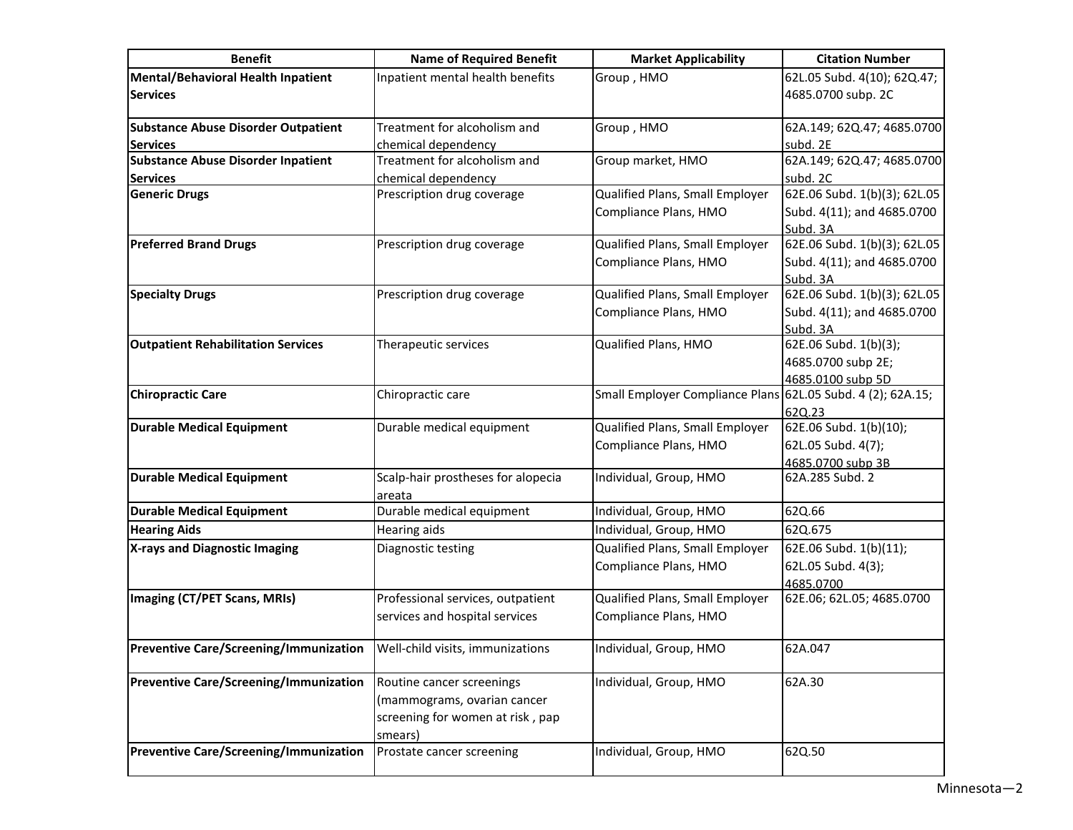| <b>Benefit</b>                                               | <b>Name of Required Benefit</b>                                     | <b>Market Applicability</b>                                 | <b>Citation Number</b>                                     |
|--------------------------------------------------------------|---------------------------------------------------------------------|-------------------------------------------------------------|------------------------------------------------------------|
| <b>Mental/Behavioral Health Inpatient</b><br><b>Services</b> | Inpatient mental health benefits                                    | Group, HMO                                                  | 62L.05 Subd. 4(10); 62Q.47;<br>4685.0700 subp. 2C          |
| <b>Substance Abuse Disorder Outpatient</b>                   | Treatment for alcoholism and                                        | Group, HMO                                                  | 62A.149; 62Q.47; 4685.0700                                 |
| <b>Services</b>                                              | chemical dependency                                                 |                                                             | subd. 2E                                                   |
| <b>Substance Abuse Disorder Inpatient</b>                    | Treatment for alcoholism and                                        | Group market, HMO                                           | 62A.149; 62Q.47; 4685.0700                                 |
| <b>Services</b>                                              | chemical dependency                                                 |                                                             | subd. 2C                                                   |
| <b>Generic Drugs</b>                                         | Prescription drug coverage                                          | Qualified Plans, Small Employer<br>Compliance Plans, HMO    | 62E.06 Subd. 1(b)(3); 62L.05<br>Subd. 4(11); and 4685.0700 |
|                                                              |                                                                     |                                                             | Subd. 3A                                                   |
| <b>Preferred Brand Drugs</b>                                 | Prescription drug coverage                                          | Qualified Plans, Small Employer                             | 62E.06 Subd. 1(b)(3); 62L.05                               |
|                                                              |                                                                     | Compliance Plans, HMO                                       | Subd. 4(11); and 4685.0700<br>Subd. 3A                     |
| <b>Specialty Drugs</b>                                       | Prescription drug coverage                                          | Qualified Plans, Small Employer                             | 62E.06 Subd. 1(b)(3); 62L.05                               |
|                                                              |                                                                     | Compliance Plans, HMO                                       | Subd. 4(11); and 4685.0700                                 |
|                                                              |                                                                     |                                                             | Subd. 3A                                                   |
| <b>Outpatient Rehabilitation Services</b>                    | Therapeutic services                                                | Qualified Plans, HMO                                        | 62E.06 Subd. 1(b)(3);                                      |
|                                                              |                                                                     |                                                             | 4685.0700 subp 2E;                                         |
|                                                              |                                                                     |                                                             | 4685.0100 subp 5D                                          |
| <b>Chiropractic Care</b>                                     | Chiropractic care                                                   | Small Employer Compliance Plans 62L.05 Subd. 4 (2); 62A.15; |                                                            |
|                                                              |                                                                     |                                                             | 62Q.23                                                     |
| <b>Durable Medical Equipment</b>                             | Durable medical equipment                                           | Qualified Plans, Small Employer                             | 62E.06 Subd. 1(b)(10);                                     |
|                                                              |                                                                     | Compliance Plans, HMO                                       | 62L.05 Subd. 4(7);                                         |
|                                                              |                                                                     |                                                             | 4685.0700 subp 3B                                          |
| <b>Durable Medical Equipment</b>                             | Scalp-hair prostheses for alopecia<br>areata                        | Individual, Group, HMO                                      | 62A.285 Subd. 2                                            |
| <b>Durable Medical Equipment</b>                             | Durable medical equipment                                           | Individual, Group, HMO                                      | 62Q.66                                                     |
| <b>Hearing Aids</b>                                          | Hearing aids                                                        | Individual, Group, HMO                                      | 62Q.675                                                    |
| X-rays and Diagnostic Imaging                                | Diagnostic testing                                                  | Qualified Plans, Small Employer                             | 62E.06 Subd. 1(b)(11);                                     |
|                                                              |                                                                     | Compliance Plans, HMO                                       | 62L.05 Subd. 4(3);                                         |
|                                                              |                                                                     |                                                             | 4685.0700                                                  |
| Imaging (CT/PET Scans, MRIs)                                 | Professional services, outpatient<br>services and hospital services | Qualified Plans, Small Employer<br>Compliance Plans, HMO    | 62E.06; 62L.05; 4685.0700                                  |
| <b>Preventive Care/Screening/Immunization</b>                | Well-child visits, immunizations                                    | Individual, Group, HMO                                      | 62A.047                                                    |
| <b>Preventive Care/Screening/Immunization</b>                | Routine cancer screenings                                           | Individual, Group, HMO                                      | 62A.30                                                     |
|                                                              | (mammograms, ovarian cancer                                         |                                                             |                                                            |
|                                                              | screening for women at risk, pap                                    |                                                             |                                                            |
|                                                              | smears)                                                             |                                                             |                                                            |
| <b>Preventive Care/Screening/Immunization</b>                | Prostate cancer screening                                           | Individual, Group, HMO                                      | 62Q.50                                                     |